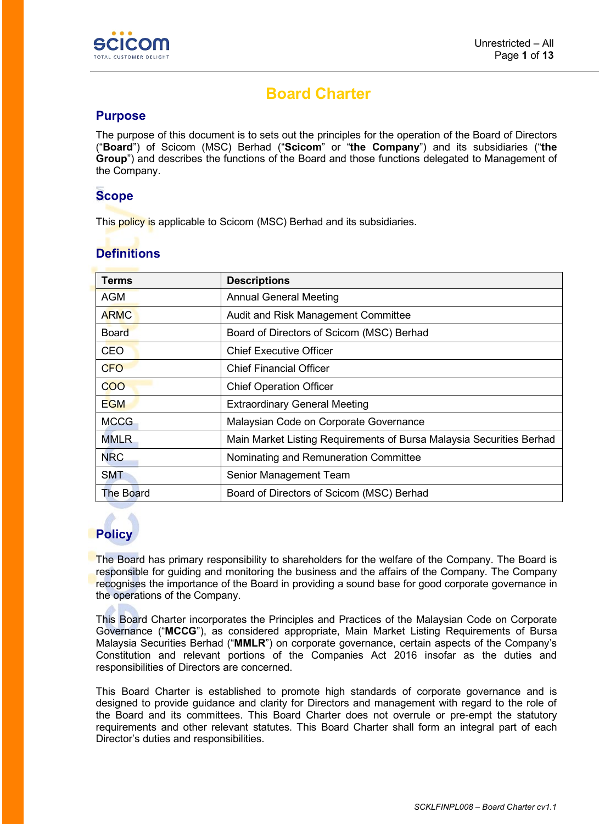

# **Board Charter**

#### **Purpose**

The purpose of this document is to sets out the principles for the operation of the Board of Directors ("**Board**") of Scicom (MSC) Berhad ("**Scicom**" or "**the Company**") and its subsidiaries ("**the Group**") and describes the functions of the Board and those functions delegated to Management of the Company.

# **Scope**

This policy is applicable to Scicom (MSC) Berhad and its subsidiaries.

| <b>Terms</b> | <b>Descriptions</b>                                                  |
|--------------|----------------------------------------------------------------------|
| AGM          | <b>Annual General Meeting</b>                                        |
| <b>ARMC</b>  | Audit and Risk Management Committee                                  |
| <b>Board</b> | Board of Directors of Scicom (MSC) Berhad                            |
| <b>CEO</b>   | <b>Chief Executive Officer</b>                                       |
| <b>CFO</b>   | <b>Chief Financial Officer</b>                                       |
| <b>COO</b>   | <b>Chief Operation Officer</b>                                       |
| <b>EGM</b>   | <b>Extraordinary General Meeting</b>                                 |
| <b>MCCG</b>  | Malaysian Code on Corporate Governance                               |
| <b>MMLR</b>  | Main Market Listing Requirements of Bursa Malaysia Securities Berhad |
| <b>NRC</b>   | Nominating and Remuneration Committee                                |
| <b>SMT</b>   | Senior Management Team                                               |
| The Board    | Board of Directors of Scicom (MSC) Berhad                            |

# **Definitions**

# **Policy**

The Board has primary responsibility to shareholders for the welfare of the Company. The Board is responsible for guiding and monitoring the business and the affairs of the Company. The Company recognises the importance of the Board in providing a sound base for good corporate governance in the operations of the Company.

This Board Charter incorporates the Principles and Practices of the Malaysian Code on Corporate Governance ("**MCCG**"), as considered appropriate, Main Market Listing Requirements of Bursa Malaysia Securities Berhad ("**MMLR**") on corporate governance, certain aspects of the Company's Constitution and relevant portions of the Companies Act 2016 insofar as the duties and responsibilities of Directors are concerned.

This Board Charter is established to promote high standards of corporate governance and is designed to provide guidance and clarity for Directors and management with regard to the role of the Board and its committees. This Board Charter does not overrule or pre-empt the statutory requirements and other relevant statutes. This Board Charter shall form an integral part of each Director's duties and responsibilities.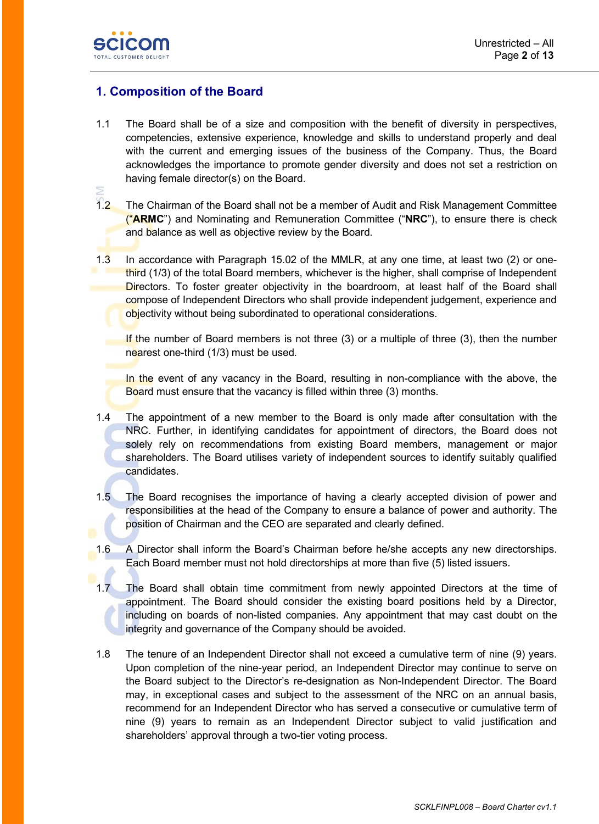

# **1. Composition of the Board**

- 1.1 The Board shall be of a size and composition with the benefit of diversity in perspectives, competencies, extensive experience, knowledge and skills to understand properly and deal with the current and emerging issues of the business of the Company. Thus, the Board acknowledges the importance to promote gender diversity and does not set a restriction on having female director(s) on the Board.
- 1.2 The Chairman of the Board shall not be a member of Audit and Risk Management Committee ("**ARMC**") and Nominating and Remuneration Committee ("**NRC**"), to ensure there is check and balance as well as objective review by the Board.
- 1.3 In accordance with Paragraph 15.02 of the MMLR, at any one time, at least two (2) or onethird (1/3) of the total Board members, whichever is the higher, shall comprise of Independent Directors. To foster greater objectivity in the boardroom, at least half of the Board shall compose of Independent Directors who shall provide independent judgement, experience and objectivity without being subordinated to operational considerations.

If the number of Board members is not three  $(3)$  or a multiple of three  $(3)$ , then the number nearest one-third (1/3) must be used.

In the event of any vacancy in the Board, resulting in non-compliance with the above, the Board must ensure that the vacancy is filled within three (3) months.

- 1.4 The appointment of a new member to the Board is only made after consultation with the NRC. Further, in identifying candidates for appointment of directors, the Board does not solely rely on recommendations from existing Board members, management or major shareholders. The Board utilises variety of independent sources to identify suitably qualified candidates.
- 1.5 The Board recognises the importance of having a clearly accepted division of power and responsibilities at the head of the Company to ensure a balance of power and authority. The position of Chairman and the CEO are separated and clearly defined.
- 1.6 A Director shall inform the Board's Chairman before he/she accepts any new directorships. Each Board member must not hold directorships at more than five (5) listed issuers.
- 1.7 The Board shall obtain time commitment from newly appointed Directors at the time of appointment. The Board should consider the existing board positions held by a Director, including on boards of non-listed companies. Any appointment that may cast doubt on the integrity and governance of the Company should be avoided.
- 1.8 The tenure of an Independent Director shall not exceed a cumulative term of nine (9) years. Upon completion of the nine-year period, an Independent Director may continue to serve on the Board subject to the Director's re-designation as Non-Independent Director. The Board may, in exceptional cases and subject to the assessment of the NRC on an annual basis, recommend for an Independent Director who has served a consecutive or cumulative term of nine (9) years to remain as an Independent Director subject to valid justification and shareholders' approval through a two-tier voting process.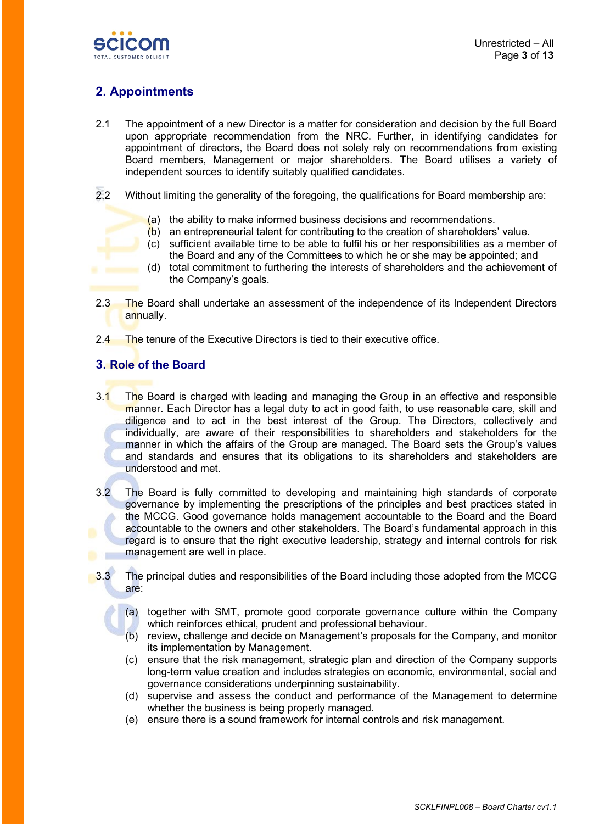

# **2. Appointments**

- 2.1 The appointment of a new Director is a matter for consideration and decision by the full Board upon appropriate recommendation from the NRC. Further, in identifying candidates for appointment of directors, the Board does not solely rely on recommendations from existing Board members, Management or major shareholders. The Board utilises a variety of independent sources to identify suitably qualified candidates.
- 2.2 Without limiting the generality of the foregoing, the qualifications for Board membership are:
	- (a) the ability to make informed business decisions and recommendations.
	- $(b)$  an entrepreneurial talent for contributing to the creation of shareholders' value.
	- (c) sufficient available time to be able to fulfil his or her responsibilities as a member of the Board and any of the Committees to which he or she may be appointed; and
	- (d) total commitment to furthering the interests of shareholders and the achievement of the Company's goals.
- 2.3 The Board shall undertake an assessment of the independence of its Independent Directors annually.
- 2.4 The tenure of the Executive Directors is tied to their executive office.

# **3. Role of the Board**

- 3.1 The Board is charged with leading and managing the Group in an effective and responsible manner. Each Director has a legal duty to act in good faith, to use reasonable care, skill and diligence and to act in the best interest of the Group. The Directors, collectively and individually, are aware of their responsibilities to shareholders and stakeholders for the manner in which the affairs of the Group are managed. The Board sets the Group's values and standards and ensures that its obligations to its shareholders and stakeholders are understood and met.
- 3.2 The Board is fully committed to developing and maintaining high standards of corporate governance by implementing the prescriptions of the principles and best practices stated in the MCCG. Good governance holds management accountable to the Board and the Board accountable to the owners and other stakeholders. The Board's fundamental approach in this regard is to ensure that the right executive leadership, strategy and internal controls for risk management are well in place.
- 3.3 The principal duties and responsibilities of the Board including those adopted from the MCCG are:
	- (a) together with SMT, promote good corporate governance culture within the Company which reinforces ethical, prudent and professional behaviour.
	- (b) review, challenge and decide on Management's proposals for the Company, and monitor its implementation by Management.
	- (c) ensure that the risk management, strategic plan and direction of the Company supports long-term value creation and includes strategies on economic, environmental, social and governance considerations underpinning sustainability.
	- (d) supervise and assess the conduct and performance of the Management to determine whether the business is being properly managed.
	- (e) ensure there is a sound framework for internal controls and risk management.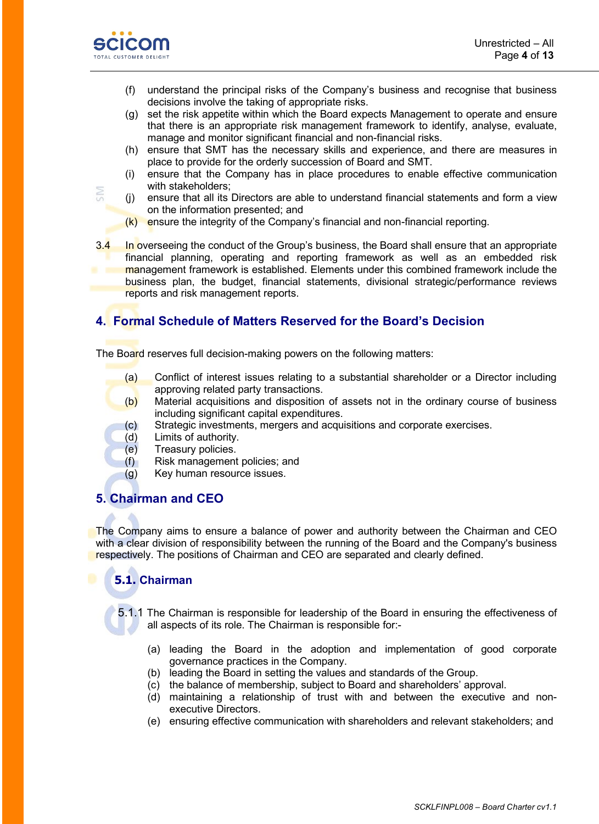

**SIM** 

- (f) understand the principal risks of the Company's business and recognise that business decisions involve the taking of appropriate risks.
- (g) set the risk appetite within which the Board expects Management to operate and ensure that there is an appropriate risk management framework to identify, analyse, evaluate, manage and monitor significant financial and non-financial risks.
- (h) ensure that SMT has the necessary skills and experience, and there are measures in place to provide for the orderly succession of Board and SMT.
- (i) ensure that the Company has in place procedures to enable effective communication with stakeholders;
- (j) ensure that all its Directors are able to understand financial statements and form a view on the information presented; and
- $(k)$  ensure the integrity of the Company's financial and non-financial reporting.
- 3.4 In overseeing the conduct of the Group's business, the Board shall ensure that an appropriate financial planning, operating and reporting framework as well as an embedded risk management framework is established. Elements under this combined framework include the business plan, the budget, financial statements, divisional strategic/performance reviews reports and risk management reports.

# **4. Formal Schedule of Matters Reserved for the Board's Decision**

The Board reserves full decision-making powers on the following matters:

- (a) Conflict of interest issues relating to a substantial shareholder or a Director including approving related party transactions.
- $(b)$  Material acquisitions and disposition of assets not in the ordinary course of business including significant capital expenditures.
- (c) Strategic investments, mergers and acquisitions and corporate exercises.
- (d) Limits of authority.
- (e) Treasury policies.
- (f) Risk management policies; and
- (g) Key human resource issues.

## **5. Chairman and CEO**

The Company aims to ensure a balance of power and authority between the Chairman and CEO with a clear division of responsibility between the running of the Board and the Company's business respectively. The positions of Chairman and CEO are separated and clearly defined.

# **5.1. Chairman**

5.1.1 The Chairman is responsible for leadership of the Board in ensuring the effectiveness of all aspects of its role. The Chairman is responsible for:-

- (a) leading the Board in the adoption and implementation of good corporate governance practices in the Company.
- (b) leading the Board in setting the values and standards of the Group.
- (c) the balance of membership, subject to Board and shareholders' approval.
- (d) maintaining a relationship of trust with and between the executive and nonexecutive Directors.
- (e) ensuring effective communication with shareholders and relevant stakeholders; and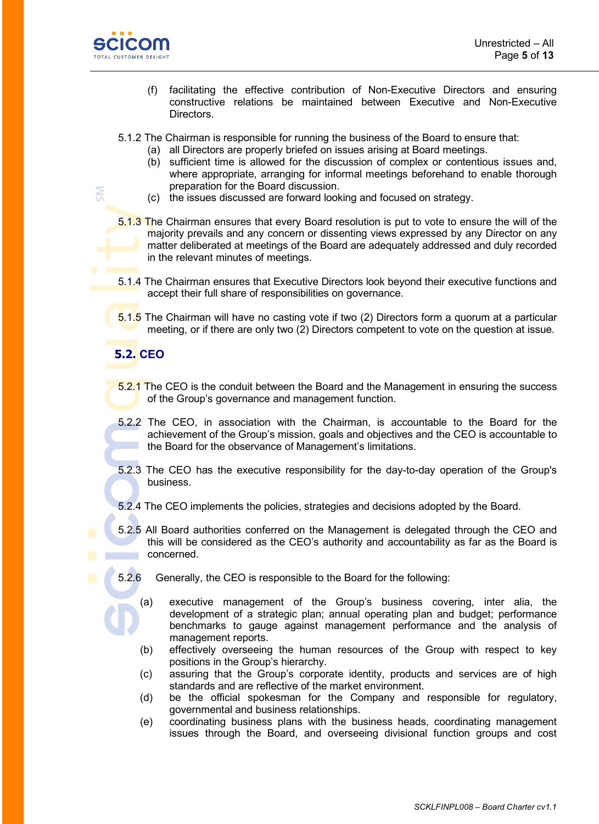

SM

- (f) facilitating the effective contribution of Non-Executive Directors and ensuring constructive relations be maintained between Executive and Non-Executive Directors.
- 5.1.2 The Chairman is responsible for running the business of the Board to ensure that:
	- (a) all Directors are properly briefed on issues arising at Board meetings.
	- (b) sufficient time is allowed for the discussion of complex or contentious issues and, where appropriate, arranging for informal meetings beforehand to enable thorough preparation for the Board discussion.
	- (c) the issues discussed are forward looking and focused on strategy.
- 5.1.3 The Chairman ensures that every Board resolution is put to vote to ensure the will of the majority prevails and any concern or dissenting views expressed by any Director on any matter deliberated at meetings of the Board are adequately addressed and duly recorded in the relevant minutes of meetings.
- 5.1.4 The Chairman ensures that Executive Directors look beyond their executive functions and accept their full share of responsibilities on governance.
- 5.1.5 The Chairman will have no casting vote if two (2) Directors form a quorum at a particular meeting, or if there are only two (2) Directors competent to vote on the question at issue.

#### **5.2. CEO**

- 5.2.1 The CEO is the conduit between the Board and the Management in ensuring the success of the Group's governance and management function.
- 5.2.2 The CEO, in association with the Chairman, is accountable to the Board for the achievement of the Group's mission, goals and objectives and the CEO is accountable to the Board for the observance of Management's limitations.
- 5.2.3 The CEO has the executive responsibility for the day-to-day operation of the Group's business.
- 5.2.4 The CEO implements the policies, strategies and decisions adopted by the Board.
- 5.2.5 All Board authorities conferred on the Management is delegated through the CEO and this will be considered as the CEO's authority and accountability as far as the Board is concerned.
- 5.2.6 Generally, the CEO is responsible to the Board for the following:
	- (a) executive management of the Group's business covering, inter alia, the development of a strategic plan; annual operating plan and budget; performance benchmarks to gauge against management performance and the analysis of management reports.
	- (b) effectively overseeing the human resources of the Group with respect to key positions in the Group's hierarchy.
	- (c) assuring that the Group's corporate identity, products and services are of high standards and are reflective of the market environment.
	- (d) be the official spokesman for the Company and responsible for regulatory, governmental and business relationships.
	- (e) coordinating business plans with the business heads, coordinating management issues through the Board, and overseeing divisional function groups and cost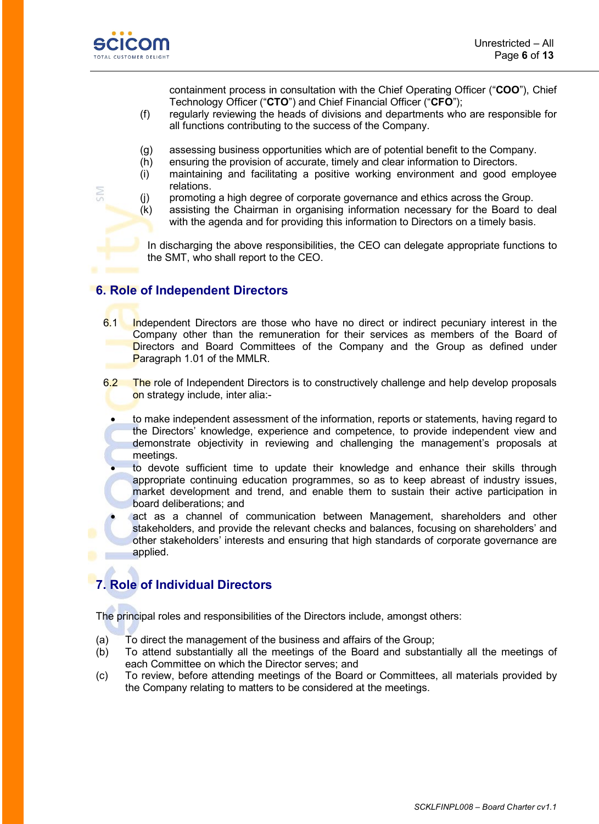

containment process in consultation with the Chief Operating Officer ("**COO**"), Chief Technology Officer ("**CTO**") and Chief Financial Officer ("**CFO**");

- (f) regularly reviewing the heads of divisions and departments who are responsible for all functions contributing to the success of the Company.
- (g) assessing business opportunities which are of potential benefit to the Company.
- (h) ensuring the provision of accurate, timely and clear information to Directors.
- (i) maintaining and facilitating a positive working environment and good employee relations.
- (j) promoting a high degree of corporate governance and ethics across the Group.
- (k) assisting the Chairman in organising information necessary for the Board to deal with the agenda and for providing this information to Directors on a timely basis.

In discharging the above responsibilities, the CEO can delegate appropriate functions to the SMT, who shall report to the CEO.

#### **6. Role of Independent Directors**

- 6.1 Independent Directors are those who have no direct or indirect pecuniary interest in the Company other than the remuneration for their services as members of the Board of Directors and Board Committees of the Company and the Group as defined under Paragraph 1.01 of the MMLR.
- 6.2 The role of Independent Directors is to constructively challenge and help develop proposals on strategy include, inter alia:-
	- to make independent assessment of the information, reports or statements, having regard to the Directors' knowledge, experience and competence, to provide independent view and demonstrate objectivity in reviewing and challenging the management's proposals at meetings.
	- to devote sufficient time to update their knowledge and enhance their skills through appropriate continuing education programmes, so as to keep abreast of industry issues, market development and trend, and enable them to sustain their active participation in board deliberations; and
	- act as a channel of communication between Management, shareholders and other stakeholders, and provide the relevant checks and balances, focusing on shareholders' and other stakeholders' interests and ensuring that high standards of corporate governance are applied.

# **7. Role of Individual Directors**

The principal roles and responsibilities of the Directors include, amongst others:

- (a) To direct the management of the business and affairs of the Group;
- (b) To attend substantially all the meetings of the Board and substantially all the meetings of each Committee on which the Director serves; and
- (c) To review, before attending meetings of the Board or Committees, all materials provided by the Company relating to matters to be considered at the meetings.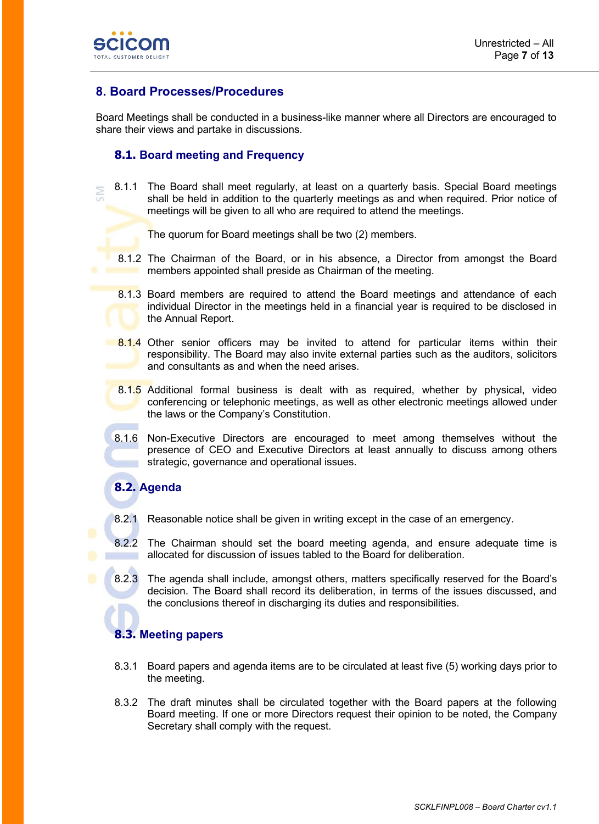

# **8. Board Processes/Procedures**

Board Meetings shall be conducted in a business-like manner where all Directors are encouraged to share their views and partake in discussions.

#### **8.1. Board meeting and Frequency**

8.1.1 The Board shall meet regularly, at least on a quarterly basis. Special Board meetings shall be held in addition to the quarterly meetings as and when required. Prior notice of meetings will be given to all who are required to attend the meetings.

The quorum for Board meetings shall be two (2) members.

- 8.1.2 The Chairman of the Board, or in his absence, a Director from amongst the Board members appointed shall preside as Chairman of the meeting.
- 8.1.3 Board members are required to attend the Board meetings and attendance of each individual Director in the meetings held in a financial year is required to be disclosed in the Annual Report.
- 8.1.4 Other senior officers may be invited to attend for particular items within their responsibility. The Board may also invite external parties such as the auditors, solicitors and consultants as and when the need arises.
- 8.1.5 Additional formal business is dealt with as required, whether by physical, video conferencing or telephonic meetings, as well as other electronic meetings allowed under the laws or the Company's Constitution.
- 8.1.6 Non-Executive Directors are encouraged to meet among themselves without the presence of CEO and Executive Directors at least annually to discuss among others strategic, governance and operational issues.

# **8.2. Agenda**

- 8.2.1 Reasonable notice shall be given in writing except in the case of an emergency.
- 8.2.2 The Chairman should set the board meeting agenda, and ensure adequate time is allocated for discussion of issues tabled to the Board for deliberation.
- 8.2.3 The agenda shall include, amongst others, matters specifically reserved for the Board's decision. The Board shall record its deliberation, in terms of the issues discussed, and the conclusions thereof in discharging its duties and responsibilities.

#### **8.3. Meeting papers**

- 8.3.1 Board papers and agenda items are to be circulated at least five (5) working days prior to the meeting.
- 8.3.2 The draft minutes shall be circulated together with the Board papers at the following Board meeting. If one or more Directors request their opinion to be noted, the Company Secretary shall comply with the request.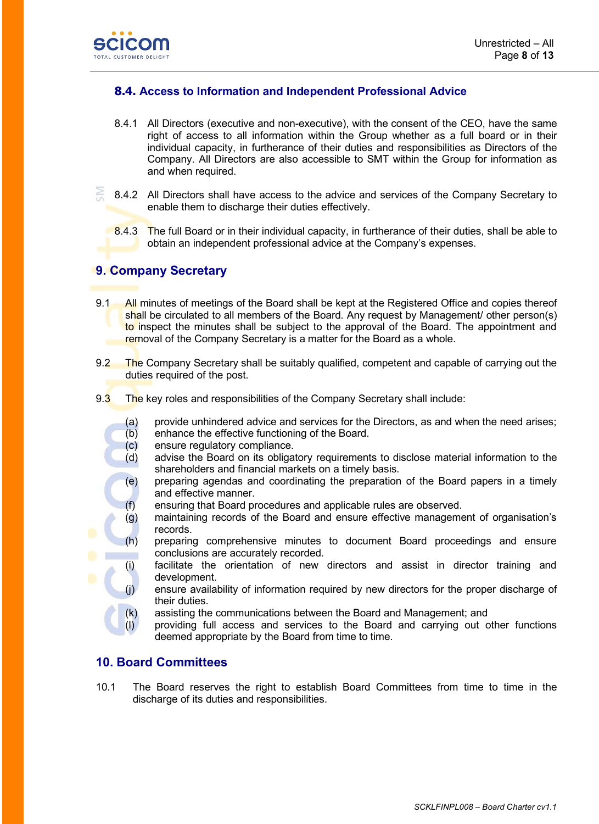

#### **8.4. Access to Information and Independent Professional Advice**

- 8.4.1 All Directors (executive and non-executive), with the consent of the CEO, have the same right of access to all information within the Group whether as a full board or in their individual capacity, in furtherance of their duties and responsibilities as Directors of the Company. All Directors are also accessible to SMT within the Group for information as and when required.
- 8.4.2 All Directors shall have access to the advice and services of the Company Secretary to enable them to discharge their duties effectively.
	- 8.4.3 The full Board or in their individual capacity, in furtherance of their duties, shall be able to obtain an independent professional advice at the Company's expenses.

# **9. Company Secretary**

- 9.1 All minutes of meetings of the Board shall be kept at the Registered Office and copies thereof shall be circulated to all members of the Board. Any request by Management/ other person(s) to inspect the minutes shall be subject to the approval of the Board. The appointment and removal of the Company Secretary is a matter for the Board as a whole.
- 9.2 The Company Secretary shall be suitably qualified, competent and capable of carrying out the duties required of the post.
- 9.3 The key roles and responsibilities of the Company Secretary shall include:
	- (a) provide unhindered advice and services for the Directors, as and when the need arises;
	- (b) enhance the effective functioning of the Board.
	- (c) ensure regulatory compliance.
	- (d) advise the Board on its obligatory requirements to disclose material information to the shareholders and financial markets on a timely basis.
	- (e) preparing agendas and coordinating the preparation of the Board papers in a timely and effective manner.
	- (f) ensuring that Board procedures and applicable rules are observed.
	- (g) maintaining records of the Board and ensure effective management of organisation's records.
	- (h) preparing comprehensive minutes to document Board proceedings and ensure conclusions are accurately recorded.
		- (i) facilitate the orientation of new directors and assist in director training and development.
			- ensure availability of information required by new directors for the proper discharge of their duties.
	- (k) assisting the communications between the Board and Management; and
	- (l) providing full access and services to the Board and carrying out other functions deemed appropriate by the Board from time to time.

#### **10. Board Committees**

10.1 The Board reserves the right to establish Board Committees from time to time in the discharge of its duties and responsibilities.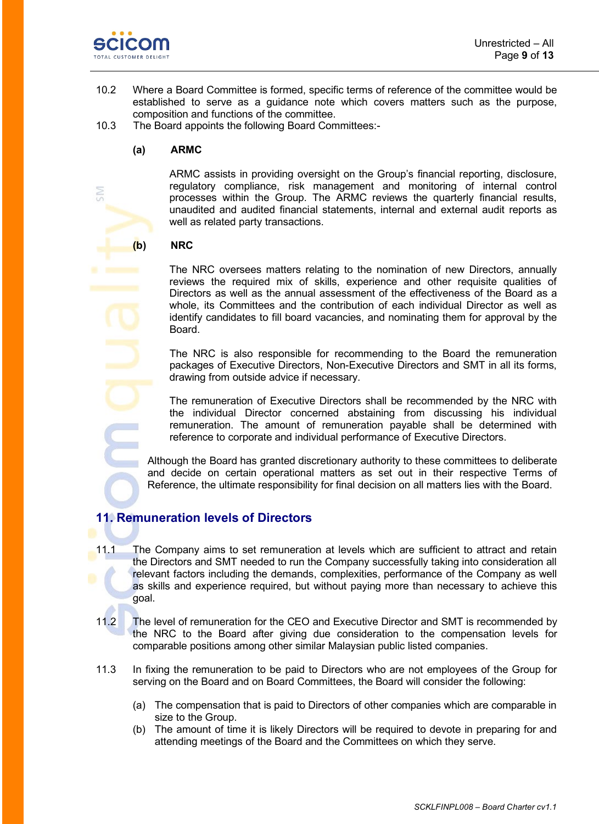

- 10.2 Where a Board Committee is formed, specific terms of reference of the committee would be established to serve as a guidance note which covers matters such as the purpose, composition and functions of the committee.
- 10.3 The Board appoints the following Board Committees:-

#### **(a) ARMC**

ARMC assists in providing oversight on the Group's financial reporting, disclosure, regulatory compliance, risk management and monitoring of internal control processes within the Group. The ARMC reviews the quarterly financial results, unaudited and audited financial statements, internal and external audit reports as well as related party transactions.

#### **(b) NRC**

The NRC oversees matters relating to the nomination of new Directors, annually reviews the required mix of skills, experience and other requisite qualities of Directors as well as the annual assessment of the effectiveness of the Board as a whole, its Committees and the contribution of each individual Director as well as identify candidates to fill board vacancies, and nominating them for approval by the Board.

The NRC is also responsible for recommending to the Board the remuneration packages of Executive Directors, Non-Executive Directors and SMT in all its forms, drawing from outside advice if necessary.

The remuneration of Executive Directors shall be recommended by the NRC with the individual Director concerned abstaining from discussing his individual remuneration. The amount of remuneration payable shall be determined with reference to corporate and individual performance of Executive Directors.

Although the Board has granted discretionary authority to these committees to deliberate and decide on certain operational matters as set out in their respective Terms of Reference, the ultimate responsibility for final decision on all matters lies with the Board.

## **11. Remuneration levels of Directors**

- 11.1 The Company aims to set remuneration at levels which are sufficient to attract and retain the Directors and SMT needed to run the Company successfully taking into consideration all relevant factors including the demands, complexities, performance of the Company as well as skills and experience required, but without paying more than necessary to achieve this goal.
- 11.2 The level of remuneration for the CEO and Executive Director and SMT is recommended by the NRC to the Board after giving due consideration to the compensation levels for comparable positions among other similar Malaysian public listed companies.
- 11.3 In fixing the remuneration to be paid to Directors who are not employees of the Group for serving on the Board and on Board Committees, the Board will consider the following:
	- (a) The compensation that is paid to Directors of other companies which are comparable in size to the Group.
	- (b) The amount of time it is likely Directors will be required to devote in preparing for and attending meetings of the Board and the Committees on which they serve.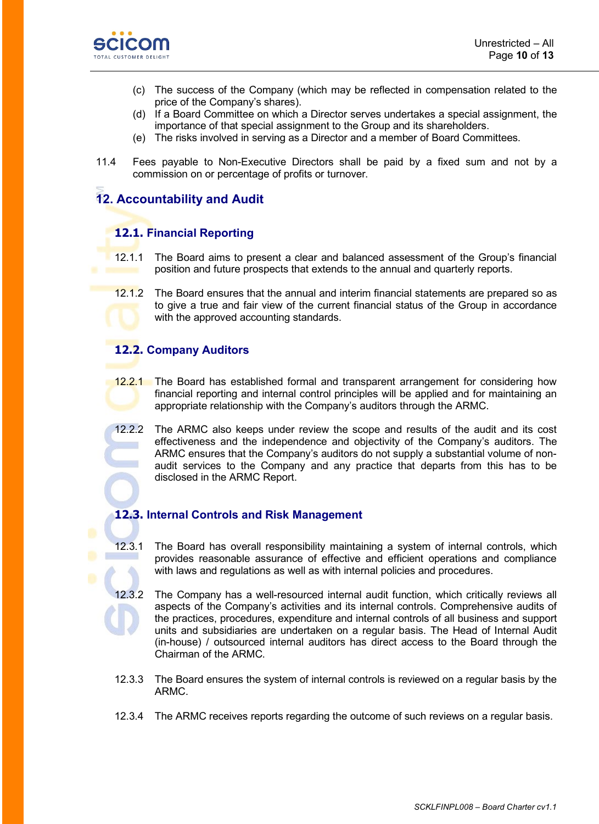

- (c) The success of the Company (which may be reflected in compensation related to the price of the Company's shares).
- (d) If a Board Committee on which a Director serves undertakes a special assignment, the importance of that special assignment to the Group and its shareholders.
- (e) The risks involved in serving as a Director and a member of Board Committees.
- 11.4 Fees payable to Non-Executive Directors shall be paid by a fixed sum and not by a commission on or percentage of profits or turnover.

# **12. Accountability and Audit**

# **12.1. Financial Reporting**

- 12.1.1 The Board aims to present a clear and balanced assessment of the Group's financial position and future prospects that extends to the annual and quarterly reports.
- 12.1.2 The Board ensures that the annual and interim financial statements are prepared so as to give a true and fair view of the current financial status of the Group in accordance with the approved accounting standards.

# **12.2. Company Auditors**

- 12.2.1 The Board has established formal and transparent arrangement for considering how financial reporting and internal control principles will be applied and for maintaining an appropriate relationship with the Company's auditors through the ARMC.
- 12.2.2 The ARMC also keeps under review the scope and results of the audit and its cost effectiveness and the independence and objectivity of the Company's auditors. The ARMC ensures that the Company's auditors do not supply a substantial volume of nonaudit services to the Company and any practice that departs from this has to be disclosed in the ARMC Report.

#### **12.3. Internal Controls and Risk Management**

- 12.3.1 The Board has overall responsibility maintaining a system of internal controls, which provides reasonable assurance of effective and efficient operations and compliance with laws and regulations as well as with internal policies and procedures.
- 12.3.2 The Company has a well-resourced internal audit function, which critically reviews all aspects of the Company's activities and its internal controls. Comprehensive audits of the practices, procedures, expenditure and internal controls of all business and support units and subsidiaries are undertaken on a regular basis. The Head of Internal Audit (in-house) / outsourced internal auditors has direct access to the Board through the Chairman of the ARMC.
- 12.3.3 The Board ensures the system of internal controls is reviewed on a regular basis by the ARMC.
- 12.3.4 The ARMC receives reports regarding the outcome of such reviews on a regular basis.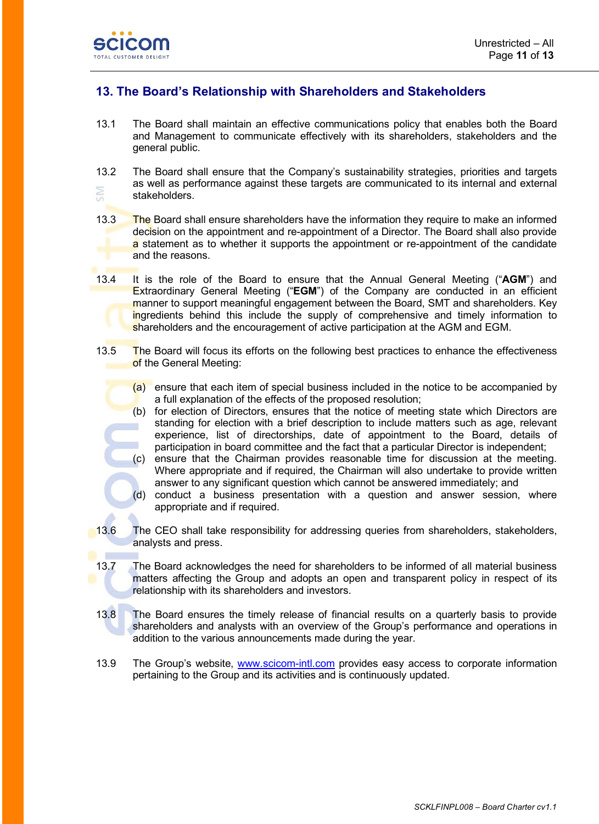

٠

# **13. The Board's Relationship with Shareholders and Stakeholders**

- 13.1 The Board shall maintain an effective communications policy that enables both the Board and Management to communicate effectively with its shareholders, stakeholders and the general public.
- 13.2 The Board shall ensure that the Company's sustainability strategies, priorities and targets as well as performance against these targets are communicated to its internal and external š stakeholders.
- 13.3 The Board shall ensure shareholders have the information they require to make an informed decision on the appointment and re-appointment of a Director. The Board shall also provide a statement as to whether it supports the appointment or re-appointment of the candidate and the reasons.
- 13.4 It is the role of the Board to ensure that the Annual General Meeting ("**AGM**") and Extraordinary General Meeting ("**EGM**") of the Company are conducted in an efficient manner to support meaningful engagement between the Board, SMT and shareholders. Key ingredients behind this include the supply of comprehensive and timely information to shareholders and the encouragement of active participation at the AGM and EGM.
- 13.5 The Board will focus its efforts on the following best practices to enhance the effectiveness of the General Meeting:
	- $(a)$  ensure that each item of special business included in the notice to be accompanied by a full explanation of the effects of the proposed resolution;
	- (b) for election of Directors, ensures that the notice of meeting state which Directors are standing for election with a brief description to include matters such as age, relevant experience, list of directorships, date of appointment to the Board, details of participation in board committee and the fact that a particular Director is independent;
	- (c) ensure that the Chairman provides reasonable time for discussion at the meeting. Where appropriate and if required, the Chairman will also undertake to provide written answer to any significant question which cannot be answered immediately; and
	- (d) conduct a business presentation with a question and answer session, where appropriate and if required.
- 13.6 The CEO shall take responsibility for addressing queries from shareholders, stakeholders, analysts and press.
	- 13.7 The Board acknowledges the need for shareholders to be informed of all material business matters affecting the Group and adopts an open and transparent policy in respect of its relationship with its shareholders and investors.
	- 13.8 The Board ensures the timely release of financial results on a quarterly basis to provide shareholders and analysts with an overview of the Group's performance and operations in addition to the various announcements made during the year.
	- 13.9 The Group's website, [www.scicom-intl.com](http://www.scicom-intl.com/) provides easy access to corporate information pertaining to the Group and its activities and is continuously updated.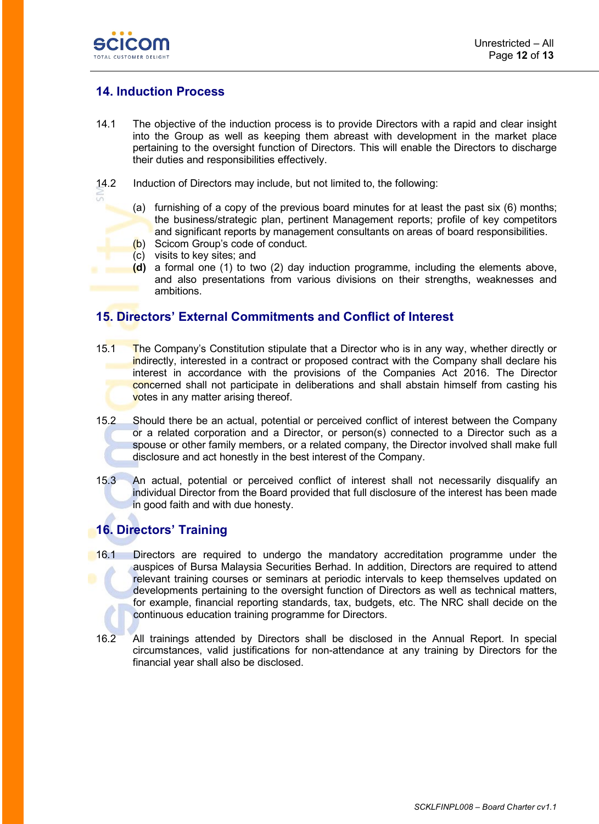

# **14. Induction Process**

- 14.1 The objective of the induction process is to provide Directors with a rapid and clear insight into the Group as well as keeping them abreast with development in the market place pertaining to the oversight function of Directors. This will enable the Directors to discharge their duties and responsibilities effectively.
- 14.2 Induction of Directors may include, but not limited to, the following:
	- (a) furnishing of a copy of the previous board minutes for at least the past six (6) months; the business/strategic plan, pertinent Management reports; profile of key competitors and significant reports by management consultants on areas of board responsibilities.
	- (b) Scicom Group's code of conduct.
	- (c) visits to key sites; and
	- **(d)** a formal one (1) to two (2) day induction programme, including the elements above, and also presentations from various divisions on their strengths, weaknesses and ambitions.

#### **15. Directors' External Commitments and Conflict of Interest**

- 15.1 The Company's Constitution stipulate that a Director who is in any way, whether directly or indirectly, interested in a contract or proposed contract with the Company shall declare his interest in accordance with the provisions of the Companies Act 2016. The Director concerned shall not participate in deliberations and shall abstain himself from casting his votes in any matter arising thereof.
- 15.2 Should there be an actual, potential or perceived conflict of interest between the Company or a related corporation and a Director, or person(s) connected to a Director such as a spouse or other family members, or a related company, the Director involved shall make full disclosure and act honestly in the best interest of the Company.
- 15.3 An actual, potential or perceived conflict of interest shall not necessarily disqualify an individual Director from the Board provided that full disclosure of the interest has been made in good faith and with due honesty.

## **16. Directors' Training**

- 16.1 Directors are required to undergo the mandatory accreditation programme under the auspices of Bursa Malaysia Securities Berhad. In addition, Directors are required to attend relevant training courses or seminars at periodic intervals to keep themselves updated on developments pertaining to the oversight function of Directors as well as technical matters, for example, financial reporting standards, tax, budgets, etc. The NRC shall decide on the continuous education training programme for Directors.
	- 16.2 All trainings attended by Directors shall be disclosed in the Annual Report. In special circumstances, valid justifications for non-attendance at any training by Directors for the financial year shall also be disclosed.